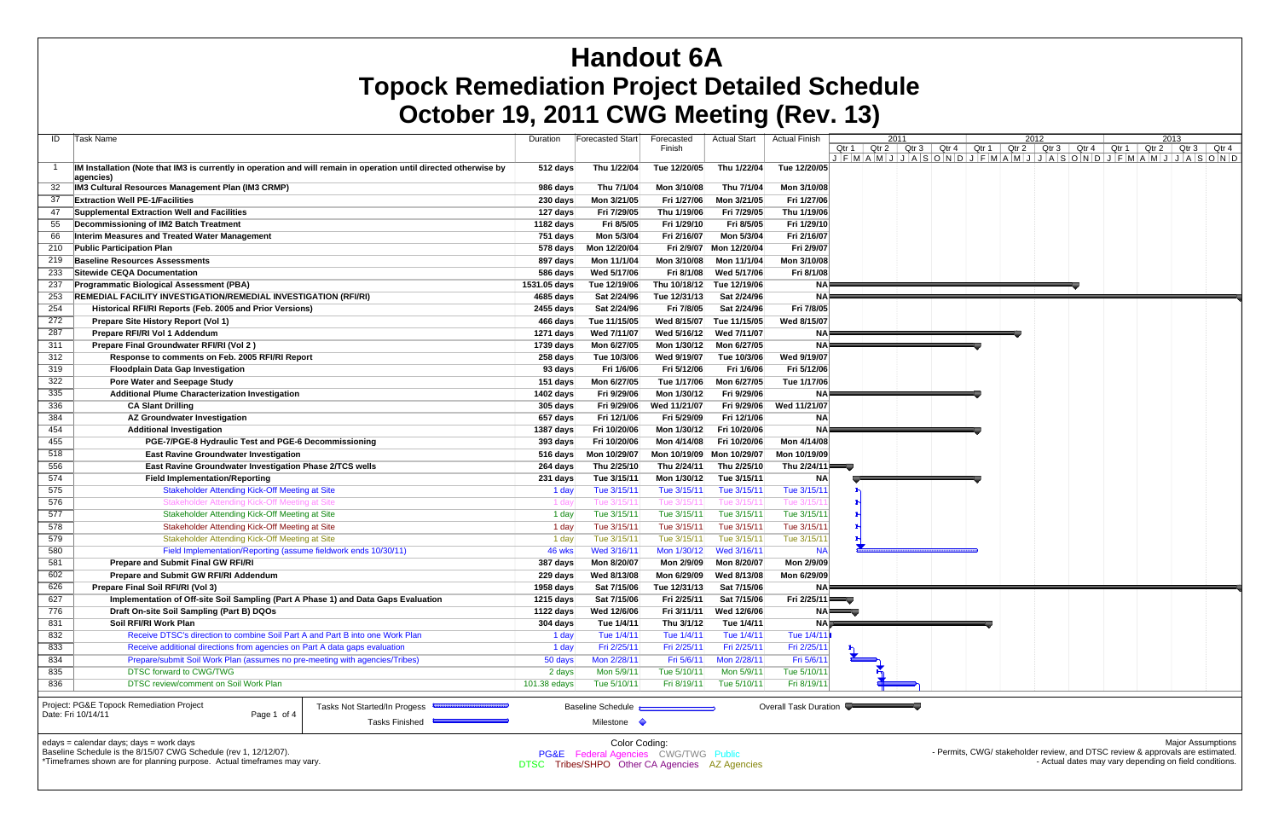|     | OCTODER 19, ZUTT GWG MEETING (KEV. 13)                                                                            |              |                          |                           |                         |                       |                  |                      |               |  |      |  |                                                                                       |      |  |
|-----|-------------------------------------------------------------------------------------------------------------------|--------------|--------------------------|---------------------------|-------------------------|-----------------------|------------------|----------------------|---------------|--|------|--|---------------------------------------------------------------------------------------|------|--|
| ID  | Task Name                                                                                                         | Duration     | Forecasted Start         | Forecasted                | <b>Actual Start</b>     | <b>Actual Finish</b>  |                  |                      | 2011          |  | 2012 |  |                                                                                       | 2013 |  |
|     |                                                                                                                   |              |                          | Finish                    |                         |                       | Qtr 1            |                      |               |  |      |  | Qtr 2   Qtr 3   Qtr 4   Qtr 1   Qtr 2   Qtr 3   Qtr 4   Qtr 1   Qtr 2   Qtr 3   Qtr 4 |      |  |
|     |                                                                                                                   |              |                          |                           |                         |                       |                  |                      |               |  |      |  | JFMAMJJJASONDJFMAMJJJASONDJFMAMJJJASOND                                               |      |  |
|     | IM Installation (Note that IM3 is currently in operation and will remain in operation until directed otherwise by | 512 days     | Thu 1/22/04              | Tue 12/20/05              | Thu 1/22/04             | Tue 12/20/05          |                  |                      |               |  |      |  |                                                                                       |      |  |
|     | agencies)                                                                                                         |              |                          |                           |                         |                       |                  |                      |               |  |      |  |                                                                                       |      |  |
| 32  | IM3 Cultural Resources Management Plan (IM3 CRMP)                                                                 | 986 days     | Thu 7/1/04               | Mon 3/10/08               | Thu 7/1/04              | Mon 3/10/08           |                  |                      |               |  |      |  |                                                                                       |      |  |
| 37  | <b>Extraction Well PE-1/Facilities</b>                                                                            | 230 days     | Mon 3/21/05              | Fri 1/27/06               | Mon 3/21/05             | Fri 1/27/06           |                  |                      |               |  |      |  |                                                                                       |      |  |
| 47  | Supplemental Extraction Well and Facilities                                                                       | 127 days     | Fri 7/29/05              | Thu 1/19/06               | Fri 7/29/05             | Thu 1/19/06           |                  |                      |               |  |      |  |                                                                                       |      |  |
| 55  | Decommissioning of IM2 Batch Treatment                                                                            | 1182 days    | Fri 8/5/05               | Fri 1/29/10               | Fri 8/5/05              | Fri 1/29/10           |                  |                      |               |  |      |  |                                                                                       |      |  |
| 66  | Interim Measures and Treated Water Management                                                                     | 751 days     | Mon 5/3/04               | Fri 2/16/07               | Mon 5/3/04              | Fri 2/16/07           |                  |                      |               |  |      |  |                                                                                       |      |  |
| 210 | <b>Public Participation Plan</b>                                                                                  | 578 days     | Mon 12/20/04             |                           | Fri 2/9/07 Mon 12/20/04 | Fri 2/9/07            |                  |                      |               |  |      |  |                                                                                       |      |  |
| 219 | <b>Baseline Resources Assessments</b>                                                                             | 897 days     | Mon 11/1/04              | Mon 3/10/08               | Mon 11/1/04             | Mon 3/10/08           |                  |                      |               |  |      |  |                                                                                       |      |  |
| 233 | Sitewide CEQA Documentation                                                                                       | 586 days     | Wed 5/17/06              | Fri 8/1/08                | Wed 5/17/06             | Fri 8/1/08            |                  |                      |               |  |      |  |                                                                                       |      |  |
| 237 | <b>Programmatic Biological Assessment (PBA)</b>                                                                   | 1531.05 days | Tue 12/19/06             | Thu 10/18/12 Tue 12/19/06 |                         | NAF                   |                  | and the state of the | and the first |  |      |  |                                                                                       |      |  |
| 253 | REMEDIAL FACILITY INVESTIGATION/REMEDIAL INVESTIGATION (RFI/RI)                                                   | 4685 days    | Sat 2/24/96              | Tue 12/31/13              | Sat 2/24/96             | <b>NA</b>             |                  |                      |               |  |      |  |                                                                                       |      |  |
| 254 | Historical RFI/RI Reports (Feb. 2005 and Prior Versions)                                                          | 2455 days    | Sat 2/24/96              | Fri 7/8/05                | Sat 2/24/96             | Fri 7/8/05            |                  |                      |               |  |      |  |                                                                                       |      |  |
| 272 | Prepare Site History Report (Vol 1)                                                                               | 466 days     | Tue 11/15/05             | Wed 8/15/07               | Tue 11/15/05            | Wed 8/15/07           |                  |                      |               |  |      |  |                                                                                       |      |  |
| 287 | Prepare RFI/RI Vol 1 Addendum                                                                                     | 1271 days    | Wed 7/11/07              | Wed 5/16/12               | Wed 7/11/07             | NA≣                   |                  |                      |               |  |      |  |                                                                                       |      |  |
| 311 | Prepare Final Groundwater RFI/RI (Vol 2)                                                                          | 1739 days    | Mon 6/27/05              | Mon 1/30/12               | Mon 6/27/05             | NA⊫                   |                  |                      |               |  |      |  |                                                                                       |      |  |
| 312 | Response to comments on Feb. 2005 RFI/RI Report                                                                   | 258 days     | Tue 10/3/06              | Wed 9/19/07               | Tue 10/3/06             | Wed 9/19/07           |                  |                      |               |  |      |  |                                                                                       |      |  |
| 319 | <b>Floodplain Data Gap Investigation</b>                                                                          | 93 days      | Fri 1/6/06               | Fri 5/12/06               | Fri 1/6/06              | Fri 5/12/06           |                  |                      |               |  |      |  |                                                                                       |      |  |
| 322 | <b>Pore Water and Seepage Study</b>                                                                               | 151 days     | Mon 6/27/05              | Tue 1/17/06               | Mon 6/27/05             | Tue 1/17/06           |                  |                      |               |  |      |  |                                                                                       |      |  |
| 335 | <b>Additional Plume Characterization Investigation</b>                                                            | 1402 days    | Fri 9/29/06              | Mon 1/30/12               | Fri 9/29/06             | <b>NA</b>             |                  |                      |               |  |      |  |                                                                                       |      |  |
| 336 | <b>CA Slant Drilling</b>                                                                                          | 305 days     | Fri 9/29/06              | Wed 11/21/07              | Fri 9/29/06             | Wed 11/21/07          |                  |                      |               |  |      |  |                                                                                       |      |  |
| 384 |                                                                                                                   |              |                          | Fri 5/29/09               | Fri 12/1/06             |                       |                  |                      |               |  |      |  |                                                                                       |      |  |
|     | AZ Groundwater Investigation                                                                                      | 657 days     | Fri 12/1/06              |                           |                         | <b>NA</b>             |                  |                      |               |  |      |  |                                                                                       |      |  |
| 454 | <b>Additional Investigation</b>                                                                                   | 1387 days    | Fri 10/20/06             | Mon 1/30/12               | Fri 10/20/06            | <b>NA</b>             |                  |                      |               |  |      |  |                                                                                       |      |  |
| 455 | PGE-7/PGE-8 Hydraulic Test and PGE-6 Decommissioning                                                              | 393 days     | Fri 10/20/06             | Mon 4/14/08               | Fri 10/20/06            | Mon 4/14/08           |                  |                      |               |  |      |  |                                                                                       |      |  |
| 518 | <b>East Ravine Groundwater Investigation</b>                                                                      | $516$ days   | Mon 10/29/07             | Mon 10/19/09 Mon 10/29/07 |                         | Mon 10/19/09          |                  |                      |               |  |      |  |                                                                                       |      |  |
| 556 | <b>East Ravine Groundwater Investigation Phase 2/TCS wells</b>                                                    | 264 days     | Thu 2/25/10              | Thu 2/24/11               | Thu 2/25/10             | Thu $2/24/11$         |                  |                      |               |  |      |  |                                                                                       |      |  |
| 574 | <b>Field Implementation/Reporting</b>                                                                             | 231 days     | Tue 3/15/11              | Mon 1/30/12               | Tue 3/15/11             | <b>NA</b>             |                  |                      |               |  |      |  |                                                                                       |      |  |
| 575 | <b>Stakeholder Attending Kick-Off Meeting at Site</b>                                                             | 1 day        | Tue 3/15/11              | Tue 3/15/11               | Tue 3/15/11             | Tue 3/15/11           |                  |                      |               |  |      |  |                                                                                       |      |  |
| 576 | Stakeholder Attending Kick-Off Meeting at Site                                                                    | 1 da         | Tue 3/15/1               | Tue 3/15/1                | Tue $3/15/1$            | Tue 3/15/1            |                  |                      |               |  |      |  |                                                                                       |      |  |
| 577 | Stakeholder Attending Kick-Off Meeting at Site                                                                    | 1 day        | Tue 3/15/11              | Tue 3/15/11               | Tue 3/15/11             | Tue 3/15/11           |                  |                      |               |  |      |  |                                                                                       |      |  |
| 578 | Stakeholder Attending Kick-Off Meeting at Site                                                                    | 1 day        | Tue 3/15/11              | Tue 3/15/11               | Tue 3/15/11             | Tue 3/15/11           |                  |                      |               |  |      |  |                                                                                       |      |  |
| 579 | Stakeholder Attending Kick-Off Meeting at Site                                                                    | 1 day        | Tue 3/15/11              | Tue 3/15/11               | Tue 3/15/11             | Tue 3/15/11           |                  |                      |               |  |      |  |                                                                                       |      |  |
| 580 | Field Implementation/Reporting (assume fieldwork ends 10/30/11)                                                   | 46 wks       | Wed 3/16/11              | Mon 1/30/12               | Wed 3/16/11             | <b>NA</b>             |                  |                      |               |  |      |  |                                                                                       |      |  |
| 581 | <b>Prepare and Submit Final GW RFI/RI</b>                                                                         | 387 days     | Mon 8/20/07              | Mon 2/9/09                | Mon 8/20/07             | Mon 2/9/09            |                  |                      |               |  |      |  |                                                                                       |      |  |
| 602 | Prepare and Submit GW RFI/RI Addendum                                                                             | $229$ days   | Wed 8/13/08              | Mon 6/29/09               | Wed 8/13/08             | Mon 6/29/09           |                  |                      |               |  |      |  |                                                                                       |      |  |
| 626 | Prepare Final Soil RFI/RI (Vol 3)                                                                                 | 1958 days    | Sat 7/15/06              | Tue 12/31/13              | Sat 7/15/06             | $NA =$                |                  |                      |               |  |      |  |                                                                                       |      |  |
| 627 | Implementation of Off-site Soil Sampling (Part A Phase 1) and Data Gaps Evaluation                                | 1215 days    | Sat 7/15/06              | Fri 2/25/11               | Sat 7/15/06             | Fri $2/25/11$         |                  |                      |               |  |      |  |                                                                                       |      |  |
| 776 | Draft On-site Soil Sampling (Part B) DQOs                                                                         | 1122 days    | Wed 12/6/06              | Fri 3/11/11               | Wed 12/6/06             |                       | NA <del>LL</del> |                      |               |  |      |  |                                                                                       |      |  |
| 831 | Soil RFI/RI Work Plan                                                                                             | 304 days     | Tue 1/4/11               | Thu 3/1/12                | Tue 1/4/11              | NA⊯                   |                  |                      |               |  |      |  |                                                                                       |      |  |
| 832 | Receive DTSC's direction to combine Soil Part A and Part B into one Work Plan                                     | 1 day        | Tue 1/4/11               | Tue 1/4/11                | Tue 1/4/11              | Tue 1/4/11            |                  |                      |               |  |      |  |                                                                                       |      |  |
| 833 | Receive additional directions from agencies on Part A data gaps evaluation                                        | 1 day        | Fri 2/25/11              | Fri 2/25/11               | Fri 2/25/11             | Fri 2/25/11           |                  |                      |               |  |      |  |                                                                                       |      |  |
| 834 | Prepare/submit Soil Work Plan (assumes no pre-meeting with agencies/Tribes)                                       | 50 days      | Mon 2/28/11              | Fri 5/6/11                | Mon 2/28/11             | Fri 5/6/11            |                  |                      |               |  |      |  |                                                                                       |      |  |
| 835 | DTSC forward to CWG/TWG                                                                                           | 2 days       | Mon 5/9/11               | Tue 5/10/11               | Mon 5/9/11              | Tue 5/10/11           |                  |                      |               |  |      |  |                                                                                       |      |  |
| 836 | DTSC review/comment on Soil Work Plan                                                                             | 101.38 edays | Tue 5/10/11              | Fri 8/19/11               | Tue 5/10/11             | Fri 8/19/11           |                  |                      |               |  |      |  |                                                                                       |      |  |
|     |                                                                                                                   |              |                          |                           |                         |                       |                  |                      |               |  |      |  |                                                                                       |      |  |
|     | Project: PG&E Topock Remediation Project<br>Tasks Not Started/In Progess <sup>633</sup>                           |              | <b>Baseline Schedule</b> |                           |                         | Overall Task Duration |                  |                      |               |  |      |  |                                                                                       |      |  |
|     | Date: Fri 10/14/11<br>Page 1 of 4                                                                                 |              |                          |                           |                         |                       |                  |                      |               |  |      |  |                                                                                       |      |  |
|     | Tasks Finished                                                                                                    |              | Milestone $\Diamond$     |                           |                         |                       |                  |                      |               |  |      |  |                                                                                       |      |  |

edays = calendar days; days = work days

Baseline Schedule is the 8/15/07 CWG Schedule (rev 1, 12/12/07).

\*Timeframes shown are for planning purpose. Actual timeframes may vary.

Color Coding: PG&E Federal Agencies CWG/TWG Public DTSC Tribes/SHPO Other CA Agencies AZ Agencies Major Assumptions

- Permits, CWG/ stakeholder review, and DTSC review & approvals are estimated. - Actual dates may vary depending on field conditions.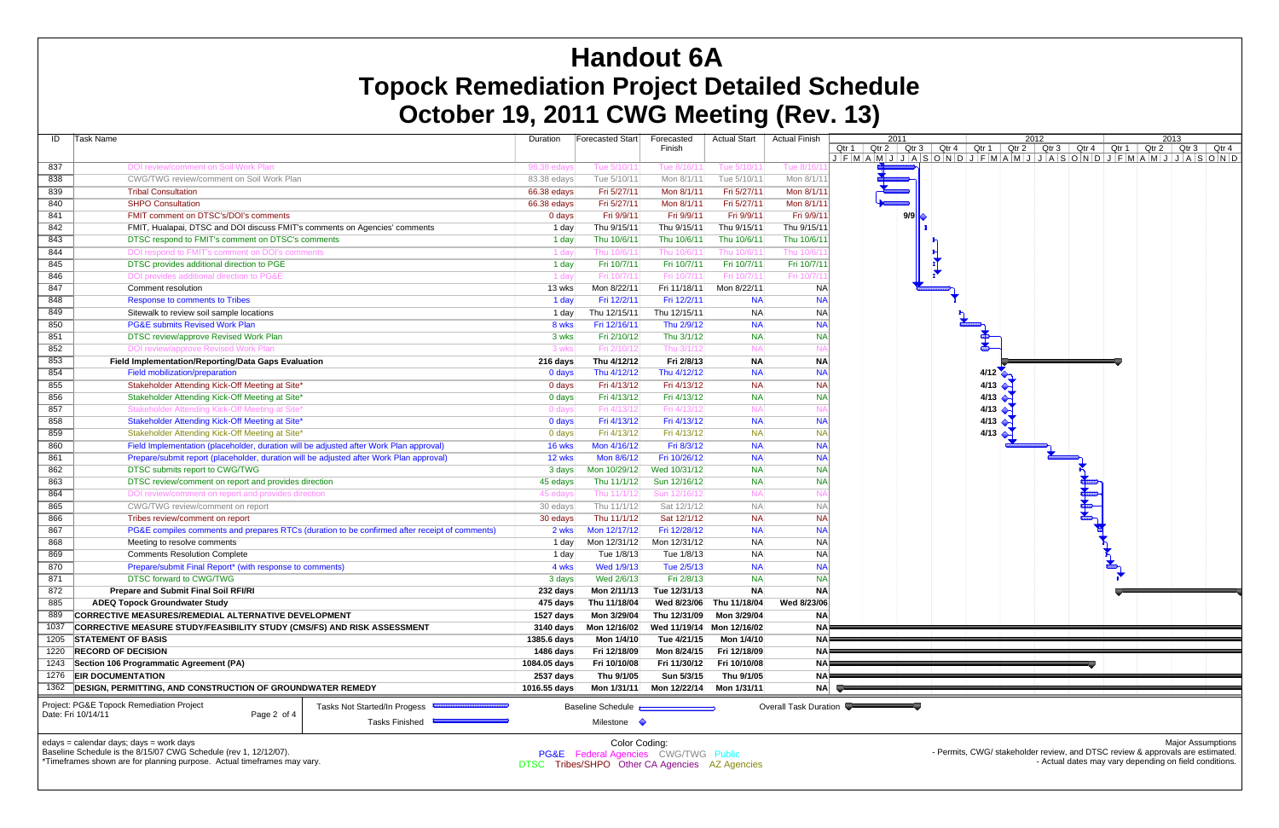| ID   | Task Name                                                                                                                              | Duration     | <b>Forecasted Start</b>                          | Forecasted<br>Finish | <b>Actual Start</b>       | <b>Actual Finish</b>  | 2011<br>Qtr 2   Qtr 3  <br>Qtr 1        |
|------|----------------------------------------------------------------------------------------------------------------------------------------|--------------|--------------------------------------------------|----------------------|---------------------------|-----------------------|-----------------------------------------|
| 837  | DOI review/comment on Soil Work Plan                                                                                                   | 98.38 eday   | Tue 5/10/11                                      | Tue 8/16/11          | Tue 5/10/11               | Tue 8/16/1            | $J$ $F$ $M$ $A$ $M$ $J$ $J$ $A$ $S$ $O$ |
| 838  | CWG/TWG review/comment on Soil Work Plan                                                                                               | 83.38 edays  | Tue 5/10/11                                      | Mon 8/1/11           | Tue 5/10/11               | Mon 8/1/11            |                                         |
| 839  | <b>Tribal Consultation</b>                                                                                                             | 66.38 edays  | Fri 5/27/11                                      | Mon 8/1/11           | Fri 5/27/11               | Mon 8/1/11            |                                         |
| 840  | <b>SHPO Consultation</b>                                                                                                               | 66.38 edays  | Fri 5/27/11                                      | Mon 8/1/11           | Fri 5/27/11               | Mon 8/1/11            |                                         |
| 841  | FMIT comment on DTSC's/DOI's comments                                                                                                  | $0$ days     | Fri 9/9/11                                       | Fri 9/9/11           | Fri 9/9/11                | Fri 9/9/11            | 9/9                                     |
| 842  | FMIT, Hualapai, DTSC and DOI discuss FMIT's comments on Agencies' comments                                                             | 1 day        | Thu 9/15/11                                      | Thu 9/15/11          | Thu 9/15/11               | Thu 9/15/11           |                                         |
| 843  | DTSC respond to FMIT's comment on DTSC's comments                                                                                      | 1 day        | Thu 10/6/11                                      | Thu 10/6/11          | Thu 10/6/11               | Thu 10/6/11           |                                         |
| 844  | DOI respond to FMIT's comment on DOI's comments                                                                                        | 1 day        | Thu 10/6/11                                      | Thu 10/6/11          | Thu 10/6/11               | Thu 10/6/1            |                                         |
| 845  | DTSC provides additional direction to PGE                                                                                              | 1 day        | Fri 10/7/11                                      | Fri 10/7/11          | Fri 10/7/11               | Fri 10/7/11           |                                         |
| 846  | DOI provides additional direction to PG&E                                                                                              | 1 day        | Fri 10/7/11                                      | Fri 10/7/11          | Fri 10/7/11               | Fri 10/7/1            |                                         |
| 847  | Comment resolution                                                                                                                     | 13 wks       | Mon 8/22/11                                      | Fri 11/18/11         | Mon 8/22/11               | <b>NA</b>             |                                         |
| 848  | <b>Response to comments to Tribes</b>                                                                                                  | 1 day        | Fri 12/2/11                                      | Fri 12/2/11          | <b>NA</b>                 | <b>NA</b>             |                                         |
| 849  | Sitewalk to review soil sample locations                                                                                               | $1$ day      | Thu 12/15/11                                     | Thu 12/15/11         | <b>NA</b>                 | <b>NA</b>             |                                         |
| 850  | <b>PG&amp;E submits Revised Work Plan</b>                                                                                              | 8 wks        | Fri 12/16/11                                     | Thu 2/9/12           | <b>NA</b>                 | <b>NA</b>             |                                         |
| 851  | DTSC review/approve Revised Work Plan                                                                                                  | 3 wks        | Fri 2/10/12                                      | Thu 3/1/12           | <b>NA</b>                 | <b>NA</b>             |                                         |
| 852  | DOI review/approve Revised Work Plan                                                                                                   | 3 wks        | Fri 2/10/12                                      | Thu 3/1/12           | <b>NA</b>                 |                       |                                         |
| 853  | Field Implementation/Reporting/Data Gaps Evaluation                                                                                    | 216 days     | Thu 4/12/12                                      | Fri 2/8/13           | <b>NA</b>                 | <b>NA</b>             |                                         |
| 854  | Field mobilization/preparation                                                                                                         | 0 days       | Thu 4/12/12                                      | Thu 4/12/12          | <b>NA</b>                 | <b>NA</b>             |                                         |
| 855  | Stakeholder Attending Kick-Off Meeting at Site*                                                                                        | $0$ days     | Fri 4/13/12                                      | Fri 4/13/12          | <b>NA</b>                 | <b>NA</b>             |                                         |
| 856  | Stakeholder Attending Kick-Off Meeting at Site*                                                                                        | 0 days       | Fri 4/13/12                                      | Fri 4/13/12          | <b>NA</b>                 | <b>NA</b>             |                                         |
| 857  | Stakeholder Attending Kick-Off Meeting at Site*                                                                                        | 0 days       | Fri 4/13/12                                      | Fri 4/13/12          | <b>NA</b>                 | N۵                    |                                         |
| 858  | Stakeholder Attending Kick-Off Meeting at Site*                                                                                        | 0 days       | Fri 4/13/12                                      | Fri 4/13/12          | <b>NA</b>                 | <b>NA</b>             |                                         |
| 859  | Stakeholder Attending Kick-Off Meeting at Site*                                                                                        | 0 days       | Fri 4/13/12                                      | Fri 4/13/12          | <b>NA</b>                 | <b>NA</b>             |                                         |
| 860  | Field Implementation (placeholder, duration will be adjusted after Work Plan approval)                                                 | 16 wks       | Mon 4/16/12                                      | Fri 8/3/12           | <b>NA</b>                 | <b>NA</b>             |                                         |
| 861  | Prepare/submit report (placeholder, duration will be adjusted after Work Plan approval)                                                | 12 wks       | Mon 8/6/12                                       | Fri 10/26/12         | <b>NA</b>                 | <b>NA</b>             |                                         |
| 862  | DTSC submits report to CWG/TWG                                                                                                         | 3 days       | Mon 10/29/12                                     | Wed 10/31/12         | <b>NA</b>                 | <b>NA</b>             |                                         |
| 863  | DTSC review/comment on report and provides direction                                                                                   | 45 edays     | Thu 11/1/12                                      | Sun 12/16/12         | <b>NA</b>                 | <b>NA</b>             |                                         |
| 864  | DOI review/comment on report and provides direction                                                                                    | 45 edays     | Thu 11/1/12                                      | Sun 12/16/12         | <b>NA</b>                 | N۵                    |                                         |
| 865  | CWG/TWG review/comment on report                                                                                                       | 30 edays     | Thu 11/1/12                                      | Sat 12/1/12          | <b>NA</b>                 | <b>NA</b>             |                                         |
| 866  | Tribes review/comment on report                                                                                                        | 30 edays     | Thu 11/1/12                                      | Sat 12/1/12          | <b>NA</b>                 | <b>NA</b>             |                                         |
| 867  | PG&E compiles comments and prepares RTCs (duration to be confirmed after receipt of comments)                                          | 2 wks        | Mon 12/17/12                                     | Fri 12/28/12         | <b>NA</b>                 | <b>NA</b>             |                                         |
| 868  | Meeting to resolve comments                                                                                                            | 1 day        | Mon 12/31/12                                     | Mon 12/31/12         | <b>NA</b>                 | <b>NA</b>             |                                         |
| 869  | <b>Comments Resolution Complete</b>                                                                                                    | $1$ day      | Tue 1/8/13                                       | Tue 1/8/13           | <b>NA</b>                 | <b>NA</b>             |                                         |
| 870  | Prepare/submit Final Report* (with response to comments)                                                                               | 4 wks        | Wed 1/9/13                                       | Tue 2/5/13           | <b>NA</b>                 | <b>NA</b>             |                                         |
| 871  | <b>DTSC forward to CWG/TWG</b>                                                                                                         | 3 days       | Wed 2/6/13                                       | Fri 2/8/13           | <b>NA</b>                 | <b>NA</b>             |                                         |
| 872  | <b>Prepare and Submit Final Soil RFI/RI</b>                                                                                            | 232 days     | Mon 2/11/13                                      | Tue 12/31/13         | <b>NA</b>                 | <b>NA</b>             |                                         |
| 885  | <b>ADEQ Topock Groundwater Study</b>                                                                                                   | 475 days     | Thu 11/18/04                                     | Wed 8/23/06          | Thu 11/18/04              | Wed 8/23/06           |                                         |
| 889  | CORRECTIVE MEASURES/REMEDIAL ALTERNATIVE DEVELOPMENT                                                                                   | 1527 days    | Mon 3/29/04                                      | Thu 12/31/09         | Mon 3/29/04               | <b>NA</b>             |                                         |
| 1037 | <b>CORRECTIVE MEASURE STUDY/FEASIBILITY STUDY (CMS/FS) AND RISK ASSESSMENT</b>                                                         | 3140 days    | Mon 12/16/02                                     |                      | Wed 11/19/14 Mon 12/16/02 | <b>NAF</b>            |                                         |
| 1205 | <b>STATEMENT OF BASIS</b>                                                                                                              | 1385.6 days  | Mon 1/4/10                                       | Tue 4/21/15          | Mon 1/4/10                | <b>NAF</b>            |                                         |
| 1220 | <b>RECORD OF DECISION</b>                                                                                                              | 1486 days    | Fri 12/18/09                                     | Mon 8/24/15          | Fri 12/18/09              | NA                    |                                         |
| 1243 | Section 106 Programmatic Agreement (PA)                                                                                                | 1084.05 days | Fri 10/10/08                                     | Fri 11/30/12         | Fri 10/10/08              | NA                    |                                         |
| 1276 | <b>EIR DOCUMENTATION</b>                                                                                                               | 2537 days    | Thu 9/1/05                                       | Sun 5/3/15           | Thu 9/1/05                | NAF                   |                                         |
| 1362 | <b>DESIGN, PERMITTING, AND CONSTRUCTION OF GROUNDWATER REMEDY</b>                                                                      | 1016.55 days | Mon 1/31/11                                      | Mon 12/22/14         | Mon 1/31/11               | NA                    |                                         |
|      | Project: PG&E Topock Remediation Project<br>Tasks Not Started/In Progess<br>Date: Fri 10/14/11<br>Page 2 of 4<br><b>Tasks Finished</b> |              | <b>Baseline Schedule</b><br>Milestone $\Diamond$ |                      |                           | Overall Task Duration |                                         |

edays = calendar days; days = work days



Major Assumptions

Baseline Schedule is the 8/15/07 CWG Schedule (rev 1, 12/12/07).

\*Timeframes shown are for planning purpose. Actual timeframes may vary.

<sup>-</sup> Permits, CWG/ stakeholder review, and DTSC review & approvals are estimated. - Actual dates may vary depending on field conditions.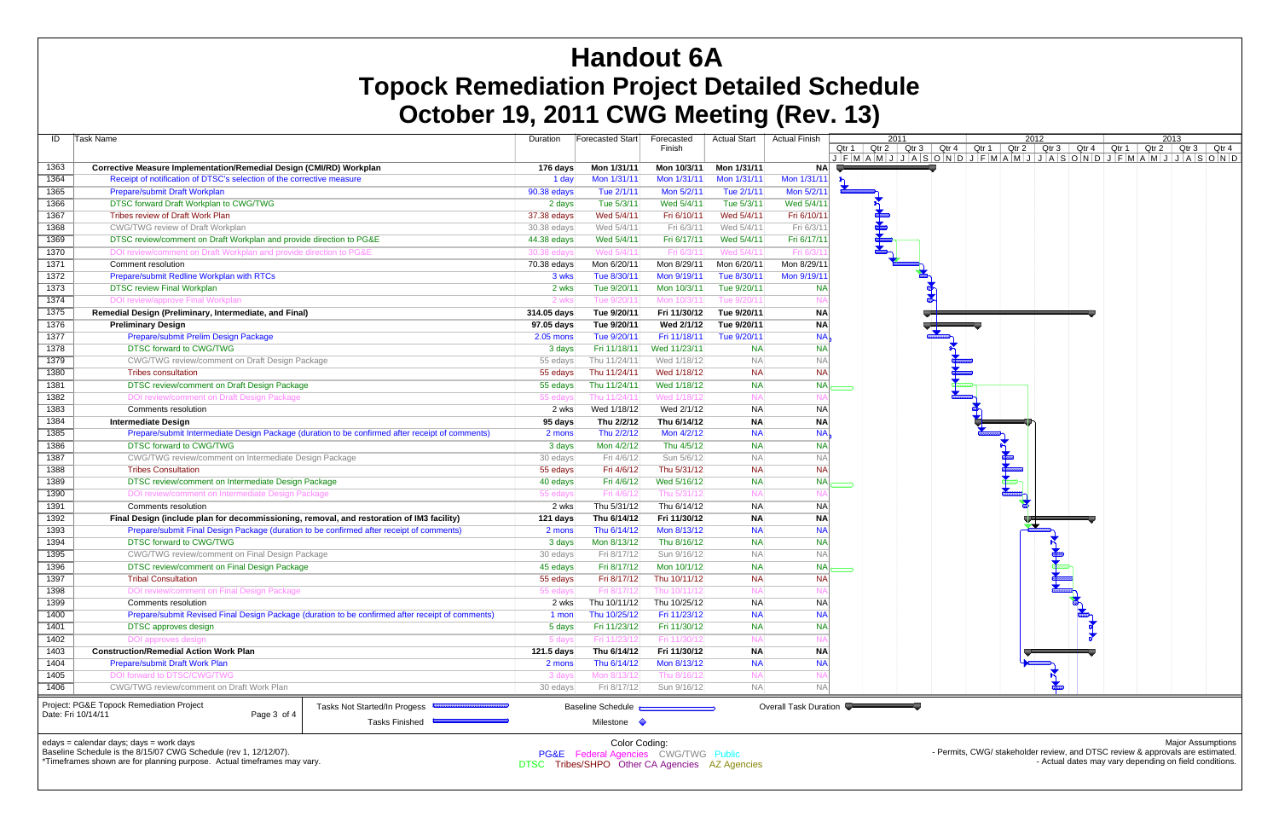| ID                 | Task Name                                                                                        |                                                             | Duration    | Forecasted Start         | Forecasted   | <b>Actual Start</b> | <b>Actual Finish</b>  |              | 2011 |  | 2012 |  | 2013 |                                                                                                                                                                                                                                                |
|--------------------|--------------------------------------------------------------------------------------------------|-------------------------------------------------------------|-------------|--------------------------|--------------|---------------------|-----------------------|--------------|------|--|------|--|------|------------------------------------------------------------------------------------------------------------------------------------------------------------------------------------------------------------------------------------------------|
|                    |                                                                                                  |                                                             |             |                          | Finish       |                     |                       |              |      |  |      |  |      | Qtr 1   Qtr 2   Qtr 3   Qtr 4   Qtr 1   Qtr 2   Qtr 3   Qtr 4   Qtr 1   Qtr 2   Qtr 3   Qtr 4<br>J   F   M   A   M   J   J   A   S   O   N   D   J   F   M   A   M   J   J   A   S   O   N   D   J   F   M   A   M   J   J   A   S   O   N   D |
| 1363               | <b>Corrective Measure Implementation/Remedial Design (CMI/RD) Workplan</b>                       |                                                             | 176 days    | Mon 1/31/11              | Mon 10/3/11  | Mon 1/31/11         | <b>NAI</b>            |              |      |  |      |  |      |                                                                                                                                                                                                                                                |
| 1364               | Receipt of notification of DTSC's selection of the corrective measure                            |                                                             | 1 day       | Mon 1/31/11              | Mon 1/31/11  | Mon 1/31/11         | Mon 1/31/11           | $\mathbf{P}$ |      |  |      |  |      |                                                                                                                                                                                                                                                |
| 1365               | Prepare/submit Draft Workplan                                                                    |                                                             | 90.38 edays | Tue 2/1/11               | Mon 5/2/11   | Tue 2/1/11          | Mon 5/2/11            |              |      |  |      |  |      |                                                                                                                                                                                                                                                |
| 1366               | DTSC forward Draft Workplan to CWG/TWG                                                           |                                                             | 2 days      | Tue 5/3/11               | Wed 5/4/11   | Tue 5/3/11          | Wed 5/4/11            |              |      |  |      |  |      |                                                                                                                                                                                                                                                |
| 1367               | Tribes review of Draft Work Plan                                                                 |                                                             | 37.38 edays | Wed 5/4/11               | Fri 6/10/11  | Wed 5/4/11          | Fri 6/10/11           |              |      |  |      |  |      |                                                                                                                                                                                                                                                |
| 1368               | <b>CWG/TWG review of Draft Workplan</b>                                                          |                                                             | 30.38 edays | Wed 5/4/11               | Fri 6/3/11   | Wed 5/4/11          | Fri 6/3/11            |              | 叶叶片  |  |      |  |      |                                                                                                                                                                                                                                                |
| 1369               | DTSC review/comment on Draft Workplan and provide direction to PG&E                              |                                                             | 44.38 edays | Wed 5/4/11               | Fri 6/17/11  | Wed 5/4/11          | Fri 6/17/11           |              |      |  |      |  |      |                                                                                                                                                                                                                                                |
| 1370               | DOI review/comment on Draft Workplan and provide direction to PG&E                               |                                                             | 30.38 eday  | Wed 5/4/11               | Fri 6/3/11   | Wed 5/4/11          | Fri 6/3/1             |              |      |  |      |  |      |                                                                                                                                                                                                                                                |
| 1371               | Comment resolution                                                                               |                                                             | 70.38 edays | Mon 6/20/11              | Mon 8/29/11  | Mon 6/20/11         | Mon 8/29/11           |              |      |  |      |  |      |                                                                                                                                                                                                                                                |
| 1372               | Prepare/submit Redline Workplan with RTCs                                                        |                                                             | 3 wks       | Tue 8/30/11              | Mon 9/19/11  | Tue 8/30/11         | Mon 9/19/11           |              |      |  |      |  |      |                                                                                                                                                                                                                                                |
| 1373               | <b>DTSC review Final Workplan</b>                                                                |                                                             | 2 wks       | Tue 9/20/11              | Mon 10/3/11  | Tue 9/20/11         | <b>NA</b>             |              |      |  |      |  |      |                                                                                                                                                                                                                                                |
| 1374               | DOI review/approve Final Workplan                                                                |                                                             | 2 wk        | Tue 9/20/1               | Mon 10/3/11  | Tue 9/20/11         |                       |              |      |  |      |  |      |                                                                                                                                                                                                                                                |
| 1375               | Remedial Design (Preliminary, Intermediate, and Final)                                           |                                                             | 314.05 days | Tue 9/20/11              | Fri 11/30/12 | Tue 9/20/11         | <b>NA</b>             |              |      |  |      |  |      |                                                                                                                                                                                                                                                |
| 1376               | <b>Preliminary Design</b>                                                                        |                                                             | 97.05 days  | Tue 9/20/11              | Wed 2/1/12   | Tue 9/20/11         | <b>NA</b>             |              |      |  |      |  |      |                                                                                                                                                                                                                                                |
| 1377               | Prepare/submit Prelim Design Package                                                             |                                                             | 2.05 mons   | Tue 9/20/11              | Fri 11/18/11 | Tue 9/20/11         | <b>NA</b>             |              |      |  |      |  |      |                                                                                                                                                                                                                                                |
| 1378               | <b>DTSC forward to CWG/TWG</b>                                                                   |                                                             | 3 days      | Fri 11/18/11             | Wed 11/23/11 | <b>NA</b>           | <b>NA</b>             |              |      |  |      |  |      |                                                                                                                                                                                                                                                |
| 1379               | CWG/TWG review/comment on Draft Design Package                                                   |                                                             | 55 edays    | Thu 11/24/11             | Wed 1/18/12  | <b>NA</b>           | <b>NA</b>             |              |      |  |      |  |      |                                                                                                                                                                                                                                                |
| 1380               | <b>Tribes consultation</b>                                                                       |                                                             | 55 edays    | Thu 11/24/11             | Wed 1/18/12  | <b>NA</b>           | <b>NA</b>             |              |      |  |      |  |      |                                                                                                                                                                                                                                                |
| 1381               | DTSC review/comment on Draft Design Package                                                      |                                                             | 55 edays    | Thu 11/24/11             | Wed 1/18/12  | <b>NA</b>           | <b>NA</b>             |              |      |  |      |  |      |                                                                                                                                                                                                                                                |
| 1382               | DOI review/comment on Draft Design Package                                                       |                                                             | 55 eday     | Thu 11/24/11             | Wed 1/18/12  | <b>NA</b>           |                       |              |      |  |      |  |      |                                                                                                                                                                                                                                                |
| 1383               | Comments resolution                                                                              |                                                             | 2 wks       | Wed 1/18/12              | Wed 2/1/12   | <b>NA</b>           | <b>NA</b>             |              |      |  |      |  |      |                                                                                                                                                                                                                                                |
| 1384               | <b>Intermediate Design</b>                                                                       |                                                             | 95 days     | Thu 2/2/12               | Thu 6/14/12  | <b>NA</b>           | <b>NA</b>             |              |      |  |      |  |      |                                                                                                                                                                                                                                                |
| 1385               | Prepare/submit Intermediate Design Package (duration to be confirmed after receipt of comments)  |                                                             | 2 mons      | Thu 2/2/12               | Mon 4/2/12   | <b>NA</b>           | <b>NA</b>             |              |      |  |      |  |      |                                                                                                                                                                                                                                                |
| 1386               | <b>DTSC forward to CWG/TWG</b>                                                                   |                                                             | 3 days      | Mon 4/2/12               | Thu 4/5/12   | <b>NA</b>           | <b>NA</b>             |              |      |  |      |  |      |                                                                                                                                                                                                                                                |
| 1387               | CWG/TWG review/comment on Intermediate Design Package                                            |                                                             | 30 edays    | Fri 4/6/12               | Sun 5/6/12   | <b>NA</b>           | <b>NA</b>             |              |      |  |      |  |      |                                                                                                                                                                                                                                                |
| 1388               | <b>Tribes Consultation</b>                                                                       |                                                             | 55 edays    | Fri 4/6/12               | Thu 5/31/12  | <b>NA</b>           | <b>NA</b>             |              |      |  |      |  |      |                                                                                                                                                                                                                                                |
| 1389               | DTSC review/comment on Intermediate Design Package                                               |                                                             | 40 edays    | Fri 4/6/12               | Wed 5/16/12  | <b>NA</b>           | <b>NA</b>             |              |      |  |      |  |      |                                                                                                                                                                                                                                                |
| 1390               | DOI review/comment on Intermediate Design Package                                                |                                                             | 55 eday     | Fri 4/6/12               | Thu 5/31/12  | <b>NA</b>           | -N                    |              |      |  |      |  |      |                                                                                                                                                                                                                                                |
| 1391               | Comments resolution                                                                              |                                                             | 2 wks       | Thu 5/31/12              | Thu 6/14/12  | <b>NA</b>           | <b>NA</b>             |              |      |  |      |  |      |                                                                                                                                                                                                                                                |
| 1392               | Final Design (include plan for decommissioning, removal, and restoration of IM3 facility)        |                                                             | 121 days    | Thu 6/14/12              | Fri 11/30/12 | <b>NA</b>           | <b>NA</b>             |              |      |  |      |  |      |                                                                                                                                                                                                                                                |
| 1393               | Prepare/submit Final Design Package (duration to be confirmed after receipt of comments)         |                                                             | 2 mons      | Thu 6/14/12              | Mon 8/13/12  | <b>NA</b>           | <b>NA</b>             |              |      |  |      |  |      |                                                                                                                                                                                                                                                |
| 1394               | <b>DTSC forward to CWG/TWG</b>                                                                   |                                                             | 3 days      | Mon 8/13/12              | Thu 8/16/12  | <b>NA</b>           | <b>NA</b>             |              |      |  |      |  |      |                                                                                                                                                                                                                                                |
| 1395               | CWG/TWG review/comment on Final Design Package                                                   |                                                             | 30 edays    | Fri 8/17/12              | Sun 9/16/12  | <b>NA</b>           | <b>NA</b>             |              |      |  |      |  |      |                                                                                                                                                                                                                                                |
| 1396               | DTSC review/comment on Final Design Package                                                      |                                                             | 45 edays    | Fri 8/17/12              | Mon 10/1/12  | <b>NA</b>           | <b>NA</b>             |              |      |  |      |  |      |                                                                                                                                                                                                                                                |
| 1397               | <b>Tribal Consultation</b>                                                                       |                                                             | 55 edays    | Fri 8/17/12              | Thu 10/11/12 | <b>NA</b>           | <b>NA</b>             |              |      |  |      |  |      |                                                                                                                                                                                                                                                |
| 1398               | DOI review/comment on Final Design Package                                                       |                                                             |             | Fri 8/17/1               |              |                     |                       |              |      |  |      |  |      |                                                                                                                                                                                                                                                |
| 1399               | Comments resolution                                                                              |                                                             | 2 wksl      | Thu 10/11/12             | Thu 10/25/12 | NA                  | <b>NA</b>             |              |      |  |      |  |      |                                                                                                                                                                                                                                                |
| 1400               | Prepare/submit Revised Final Design Package (duration to be confirmed after receipt of comments) |                                                             | 1 mon       | Thu 10/25/12             | Fri 11/23/12 | <b>NA</b>           | <b>NA</b>             |              |      |  |      |  |      |                                                                                                                                                                                                                                                |
| 1401               | <b>DTSC</b> approves design                                                                      |                                                             | 5 days      | Fri 11/23/12             | Fri 11/30/12 | <b>NA</b>           | <b>NA</b>             |              |      |  |      |  |      |                                                                                                                                                                                                                                                |
| 1402               | DOI approves design                                                                              |                                                             | 5 day       | Fri 11/23/12             | Fri 11/30/12 | <b>NA</b>           |                       |              |      |  |      |  |      |                                                                                                                                                                                                                                                |
| 1403               | <b>Construction/Remedial Action Work Plan</b>                                                    |                                                             | 121.5 days  | Thu 6/14/12              | Fri 11/30/12 | <b>NA</b>           | <b>NA</b>             |              |      |  |      |  |      |                                                                                                                                                                                                                                                |
| 1404               | Prepare/submit Draft Work Plan                                                                   |                                                             | 2 mons      | Thu 6/14/12              | Mon 8/13/12  | <b>NA</b>           | <b>NA</b>             |              |      |  |      |  |      |                                                                                                                                                                                                                                                |
| 1405               | DOI forward to DTSC/CWG/TWG                                                                      |                                                             | 3 days      | Mon 8/13/12              | Thu 8/16/12  | <b>NA</b>           | N.                    |              |      |  |      |  |      |                                                                                                                                                                                                                                                |
| 1406               | CWG/TWG review/comment on Draft Work Plan                                                        |                                                             | 30 edays    | Fri 8/17/12              | Sun 9/16/12  | <b>NA</b>           | <b>NA</b>             |              |      |  |      |  |      |                                                                                                                                                                                                                                                |
|                    |                                                                                                  |                                                             |             |                          |              |                     |                       |              |      |  |      |  |      |                                                                                                                                                                                                                                                |
| Date: Fri 10/14/11 | Project: PG&E Topock Remediation Project<br>Page 3 of 4                                          | Tasks Not Started/In Progess <b>CONSTRUCTER OF STARTING</b> |             | <b>Baseline Schedule</b> |              |                     | Overall Task Duration |              |      |  |      |  |      |                                                                                                                                                                                                                                                |
|                    |                                                                                                  | Tasks Finished                                              |             | Milestone $\Diamond$     |              |                     |                       |              |      |  |      |  |      |                                                                                                                                                                                                                                                |
|                    |                                                                                                  |                                                             |             |                          |              |                     |                       |              |      |  |      |  |      |                                                                                                                                                                                                                                                |

edays = calendar days; days = work days

Baseline Schedule is the 8/15/07 CWG Schedule (rev 1, 12/12/07).

\*Timeframes shown are for planning purpose. Actual timeframes may vary.

Major Assumptions

- Permits, CWG/ stakeholder review, and DTSC review & approvals are estimated. - Actual dates may vary depending on field conditions.